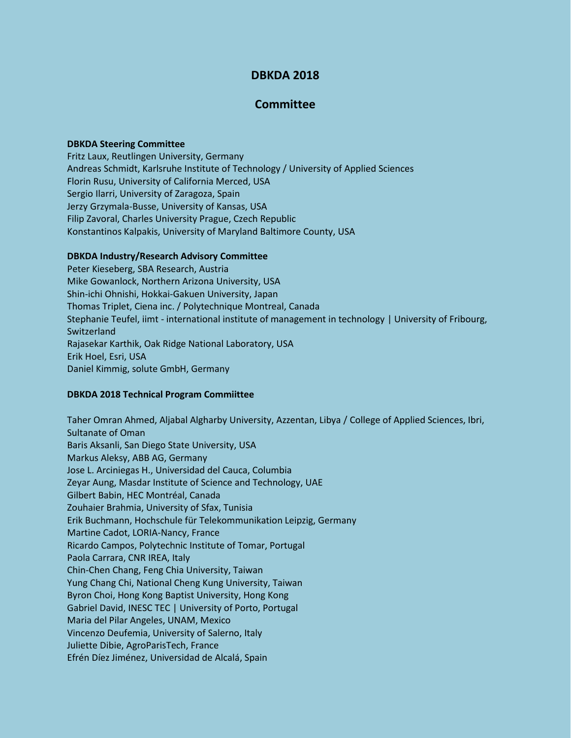# **DBKDA 2018**

# **Committee**

#### **DBKDA Steering Committee**

Fritz Laux, Reutlingen University, Germany Andreas Schmidt, Karlsruhe Institute of Technology / University of Applied Sciences Florin Rusu, University of California Merced, USA Sergio Ilarri, University of Zaragoza, Spain Jerzy Grzymala-Busse, University of Kansas, USA Filip Zavoral, Charles University Prague, Czech Republic Konstantinos Kalpakis, University of Maryland Baltimore County, USA

### **DBKDA Industry/Research Advisory Committee**

Peter Kieseberg, SBA Research, Austria Mike Gowanlock, Northern Arizona University, USA Shin-ichi Ohnishi, Hokkai-Gakuen University, Japan Thomas Triplet, Ciena inc. / Polytechnique Montreal, Canada Stephanie Teufel, iimt - international institute of management in technology | University of Fribourg, Switzerland Rajasekar Karthik, Oak Ridge National Laboratory, USA Erik Hoel, Esri, USA Daniel Kimmig, solute GmbH, Germany

#### **DBKDA 2018 Technical Program Commiittee**

Taher Omran Ahmed, Aljabal Algharby University, Azzentan, Libya / College of Applied Sciences, Ibri, Sultanate of Oman Baris Aksanli, San Diego State University, USA Markus Aleksy, ABB AG, Germany Jose L. Arciniegas H., Universidad del Cauca, Columbia Zeyar Aung, Masdar Institute of Science and Technology, UAE Gilbert Babin, HEC Montréal, Canada Zouhaier Brahmia, University of Sfax, Tunisia Erik Buchmann, Hochschule für Telekommunikation Leipzig, Germany Martine Cadot, LORIA-Nancy, France Ricardo Campos, Polytechnic Institute of Tomar, Portugal Paola Carrara, CNR IREA, Italy Chin-Chen Chang, Feng Chia University, Taiwan Yung Chang Chi, National Cheng Kung University, Taiwan Byron Choi, Hong Kong Baptist University, Hong Kong Gabriel David, INESC TEC | University of Porto, Portugal Maria del Pilar Angeles, UNAM, Mexico Vincenzo Deufemia, University of Salerno, Italy Juliette Dibie, AgroParisTech, France Efrén Díez Jiménez, Universidad de Alcalá, Spain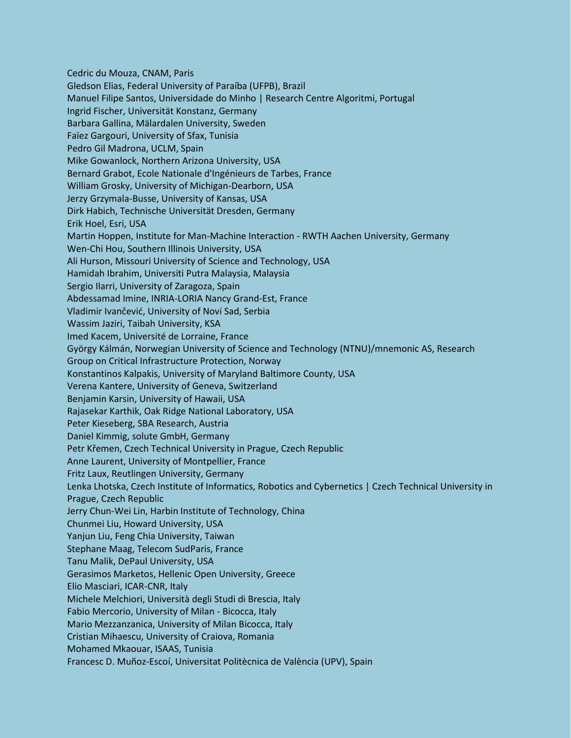Cedric du Mouza, CNAM, Paris Gledson Elias, Federal University of Paraíba (UFPB), Brazil Manuel Filipe Santos, Universidade do Minho | Research Centre Algoritmi, Portugal Ingrid Fischer, Universität Konstanz, Germany Barbara Gallina, Mälardalen University, Sweden Faïez Gargouri, University of Sfax, Tunisia Pedro Gil Madrona, UCLM, Spain Mike Gowanlock, Northern Arizona University, USA Bernard Grabot, Ecole Nationale d'Ingénieurs de Tarbes, France William Grosky, University of Michigan-Dearborn, USA Jerzy Grzymala-Busse, University of Kansas, USA Dirk Habich, Technische Universität Dresden, Germany Erik Hoel, Esri, USA Martin Hoppen, Institute for Man-Machine Interaction - RWTH Aachen University, Germany Wen-Chi Hou, Southern Illinois University, USA Ali Hurson, Missouri University of Science and Technology, USA Hamidah Ibrahim, Universiti Putra Malaysia, Malaysia Sergio Ilarri, University of Zaragoza, Spain Abdessamad Imine, INRIA-LORIA Nancy Grand-Est, France Vladimir Ivančević, University of Novi Sad, Serbia Wassim Jaziri, Taibah University, KSA Imed Kacem, Université de Lorraine, France György Kálmán, Norwegian University of Science and Technology (NTNU)/mnemonic AS, Research Group on Critical Infrastructure Protection, Norway Konstantinos Kalpakis, University of Maryland Baltimore County, USA Verena Kantere, University of Geneva, Switzerland Benjamin Karsin, University of Hawaii, USA Rajasekar Karthik, Oak Ridge National Laboratory, USA Peter Kieseberg, SBA Research, Austria Daniel Kimmig, solute GmbH, Germany Petr Křemen, Czech Technical University in Prague, Czech Republic Anne Laurent, University of Montpellier, France Fritz Laux, Reutlingen University, Germany Lenka Lhotska, Czech Institute of Informatics, Robotics and Cybernetics | Czech Technical University in Prague, Czech Republic Jerry Chun-Wei Lin, Harbin Institute of Technology, China Chunmei Liu, Howard University, USA Yanjun Liu, Feng Chia University, Taiwan Stephane Maag, Telecom SudParis, France Tanu Malik, DePaul University, USA Gerasimos Marketos, Hellenic Open University, Greece Elio Masciari, ICAR-CNR, Italy Michele Melchiori, Università degli Studi di Brescia, Italy Fabio Mercorio, University of Milan - Bicocca, Italy Mario Mezzanzanica, University of Milan Bicocca, Italy Cristian Mihaescu, University of Craiova, Romania Mohamed Mkaouar, ISAAS, Tunisia Francesc D. Muñoz-Escoí, Universitat Politècnica de València (UPV), Spain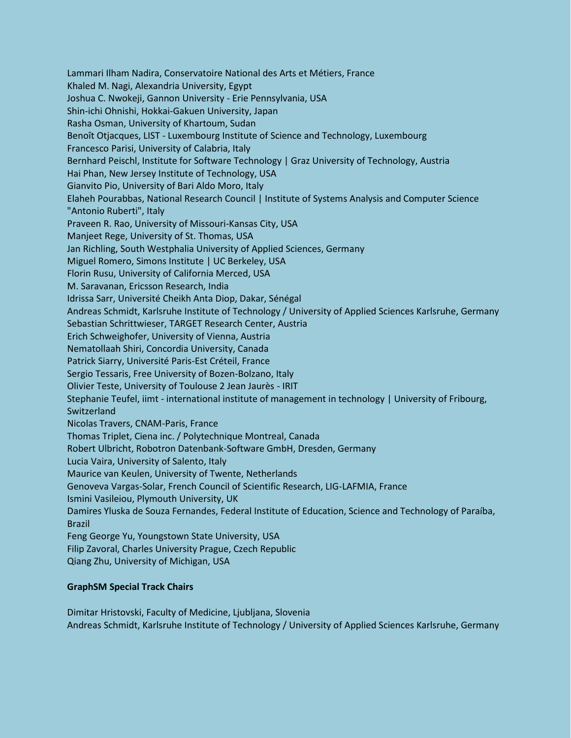Lammari Ilham Nadira, Conservatoire National des Arts et Métiers, France Khaled M. Nagi, Alexandria University, Egypt Joshua C. Nwokeji, Gannon University - Erie Pennsylvania, USA Shin-ichi Ohnishi, Hokkai-Gakuen University, Japan Rasha Osman, University of Khartoum, Sudan Benoît Otjacques, LIST - Luxembourg Institute of Science and Technology, Luxembourg Francesco Parisi, University of Calabria, Italy Bernhard Peischl, Institute for Software Technology | Graz University of Technology, Austria Hai Phan, New Jersey Institute of Technology, USA Gianvito Pio, University of Bari Aldo Moro, Italy Elaheh Pourabbas, National Research Council | Institute of Systems Analysis and Computer Science "Antonio Ruberti", Italy Praveen R. Rao, University of Missouri-Kansas City, USA Manjeet Rege, University of St. Thomas, USA Jan Richling, South Westphalia University of Applied Sciences, Germany Miguel Romero, Simons Institute | UC Berkeley, USA Florin Rusu, University of California Merced, USA M. Saravanan, Ericsson Research, India Idrissa Sarr, Université Cheikh Anta Diop, Dakar, Sénégal Andreas Schmidt, Karlsruhe Institute of Technology / University of Applied Sciences Karlsruhe, Germany Sebastian Schrittwieser, TARGET Research Center, Austria Erich Schweighofer, University of Vienna, Austria Nematollaah Shiri, Concordia University, Canada Patrick Siarry, Université Paris-Est Créteil, France Sergio Tessaris, Free University of Bozen-Bolzano, Italy Olivier Teste, University of Toulouse 2 Jean Jaurès - IRIT Stephanie Teufel, iimt - international institute of management in technology | University of Fribourg, Switzerland Nicolas Travers, CNAM-Paris, France Thomas Triplet, Ciena inc. / Polytechnique Montreal, Canada Robert Ulbricht, Robotron Datenbank-Software GmbH, Dresden, Germany Lucia Vaira, University of Salento, Italy Maurice van Keulen, University of Twente, Netherlands Genoveva Vargas-Solar, French Council of Scientific Research, LIG-LAFMIA, France Ismini Vasileiou, Plymouth University, UK Damires Yluska de Souza Fernandes, Federal Institute of Education, Science and Technology of Paraíba, Brazil Feng George Yu, Youngstown State University, USA Filip Zavoral, Charles University Prague, Czech Republic Qiang Zhu, University of Michigan, USA

## **GraphSM Special Track Chairs**

Dimitar Hristovski, Faculty of Medicine, Ljubljana, Slovenia Andreas Schmidt, Karlsruhe Institute of Technology / University of Applied Sciences Karlsruhe, Germany